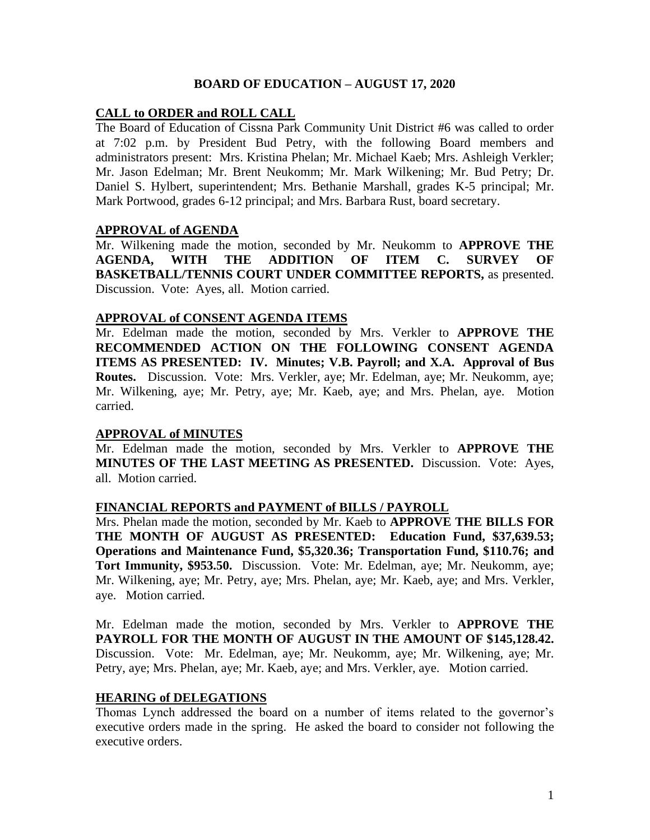### **BOARD OF EDUCATION – AUGUST 17, 2020**

# **CALL to ORDER and ROLL CALL**

The Board of Education of Cissna Park Community Unit District #6 was called to order at 7:02 p.m. by President Bud Petry, with the following Board members and administrators present: Mrs. Kristina Phelan; Mr. Michael Kaeb; Mrs. Ashleigh Verkler; Mr. Jason Edelman; Mr. Brent Neukomm; Mr. Mark Wilkening; Mr. Bud Petry; Dr. Daniel S. Hylbert, superintendent; Mrs. Bethanie Marshall, grades K-5 principal; Mr. Mark Portwood, grades 6-12 principal; and Mrs. Barbara Rust, board secretary.

### **APPROVAL of AGENDA**

Mr. Wilkening made the motion, seconded by Mr. Neukomm to **APPROVE THE AGENDA, WITH THE ADDITION OF ITEM C. SURVEY OF BASKETBALL/TENNIS COURT UNDER COMMITTEE REPORTS,** as presented. Discussion. Vote: Ayes, all. Motion carried.

### **APPROVAL of CONSENT AGENDA ITEMS**

Mr. Edelman made the motion, seconded by Mrs. Verkler to **APPROVE THE RECOMMENDED ACTION ON THE FOLLOWING CONSENT AGENDA ITEMS AS PRESENTED: IV. Minutes; V.B. Payroll; and X.A. Approval of Bus Routes.** Discussion. Vote: Mrs. Verkler, aye; Mr. Edelman, aye; Mr. Neukomm, aye; Mr. Wilkening, aye; Mr. Petry, aye; Mr. Kaeb, aye; and Mrs. Phelan, aye. Motion carried.

### **APPROVAL of MINUTES**

Mr. Edelman made the motion, seconded by Mrs. Verkler to **APPROVE THE MINUTES OF THE LAST MEETING AS PRESENTED.** Discussion. Vote: Ayes, all. Motion carried.

### **FINANCIAL REPORTS and PAYMENT of BILLS / PAYROLL**

Mrs. Phelan made the motion, seconded by Mr. Kaeb to **APPROVE THE BILLS FOR THE MONTH OF AUGUST AS PRESENTED: Education Fund, \$37,639.53; Operations and Maintenance Fund, \$5,320.36; Transportation Fund, \$110.76; and Tort Immunity, \$953.50.** Discussion. Vote: Mr. Edelman, aye; Mr. Neukomm, aye; Mr. Wilkening, aye; Mr. Petry, aye; Mrs. Phelan, aye; Mr. Kaeb, aye; and Mrs. Verkler, aye. Motion carried.

Mr. Edelman made the motion, seconded by Mrs. Verkler to **APPROVE THE PAYROLL FOR THE MONTH OF AUGUST IN THE AMOUNT OF \$145,128.42.** Discussion. Vote: Mr. Edelman, aye; Mr. Neukomm, aye; Mr. Wilkening, aye; Mr. Petry, aye; Mrs. Phelan, aye; Mr. Kaeb, aye; and Mrs. Verkler, aye. Motion carried.

### **HEARING of DELEGATIONS**

Thomas Lynch addressed the board on a number of items related to the governor's executive orders made in the spring. He asked the board to consider not following the executive orders.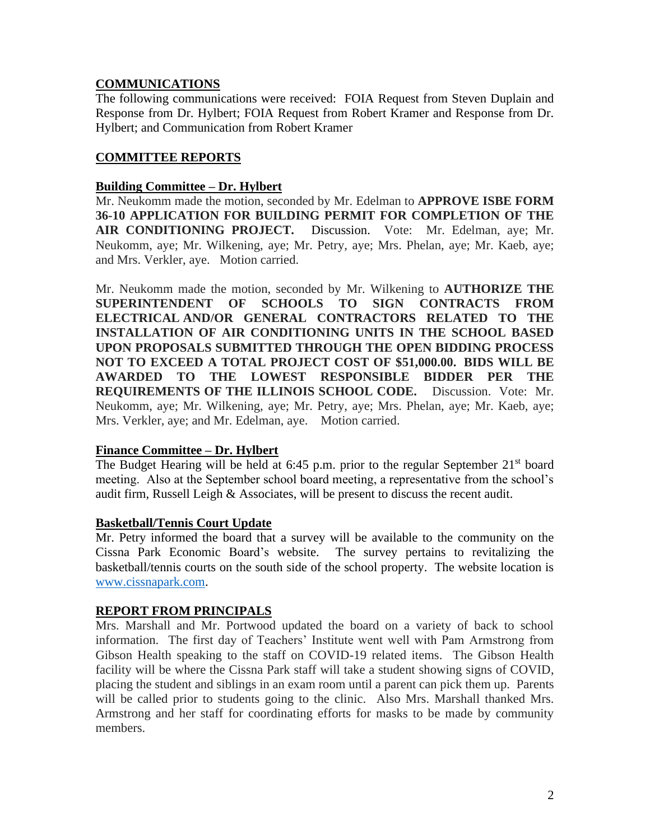# **COMMUNICATIONS**

The following communications were received: FOIA Request from Steven Duplain and Response from Dr. Hylbert; FOIA Request from Robert Kramer and Response from Dr. Hylbert; and Communication from Robert Kramer

# **COMMITTEE REPORTS**

### **Building Committee – Dr. Hylbert**

Mr. Neukomm made the motion, seconded by Mr. Edelman to **APPROVE ISBE FORM 36-10 APPLICATION FOR BUILDING PERMIT FOR COMPLETION OF THE AIR CONDITIONING PROJECT.** Discussion. Vote: Mr. Edelman, aye; Mr. Neukomm, aye; Mr. Wilkening, aye; Mr. Petry, aye; Mrs. Phelan, aye; Mr. Kaeb, aye; and Mrs. Verkler, aye. Motion carried.

Mr. Neukomm made the motion, seconded by Mr. Wilkening to **AUTHORIZE THE SUPERINTENDENT OF SCHOOLS TO SIGN CONTRACTS FROM ELECTRICAL AND/OR GENERAL CONTRACTORS RELATED TO THE INSTALLATION OF AIR CONDITIONING UNITS IN THE SCHOOL BASED UPON PROPOSALS SUBMITTED THROUGH THE OPEN BIDDING PROCESS NOT TO EXCEED A TOTAL PROJECT COST OF \$51,000.00. BIDS WILL BE AWARDED TO THE LOWEST RESPONSIBLE BIDDER PER THE REQUIREMENTS OF THE ILLINOIS SCHOOL CODE.** Discussion. Vote: Mr. Neukomm, aye; Mr. Wilkening, aye; Mr. Petry, aye; Mrs. Phelan, aye; Mr. Kaeb, aye; Mrs. Verkler, aye; and Mr. Edelman, aye. Motion carried.

# **Finance Committee – Dr. Hylbert**

The Budget Hearing will be held at 6:45 p.m. prior to the regular September  $21<sup>st</sup>$  board meeting. Also at the September school board meeting, a representative from the school's audit firm, Russell Leigh & Associates, will be present to discuss the recent audit.

### **Basketball/Tennis Court Update**

Mr. Petry informed the board that a survey will be available to the community on the Cissna Park Economic Board's website. The survey pertains to revitalizing the basketball/tennis courts on the south side of the school property. The website location is [www.cissnapark.com.](http://www.cissnapark.com/)

### **REPORT FROM PRINCIPALS**

Mrs. Marshall and Mr. Portwood updated the board on a variety of back to school information. The first day of Teachers' Institute went well with Pam Armstrong from Gibson Health speaking to the staff on COVID-19 related items. The Gibson Health facility will be where the Cissna Park staff will take a student showing signs of COVID, placing the student and siblings in an exam room until a parent can pick them up. Parents will be called prior to students going to the clinic. Also Mrs. Marshall thanked Mrs. Armstrong and her staff for coordinating efforts for masks to be made by community members.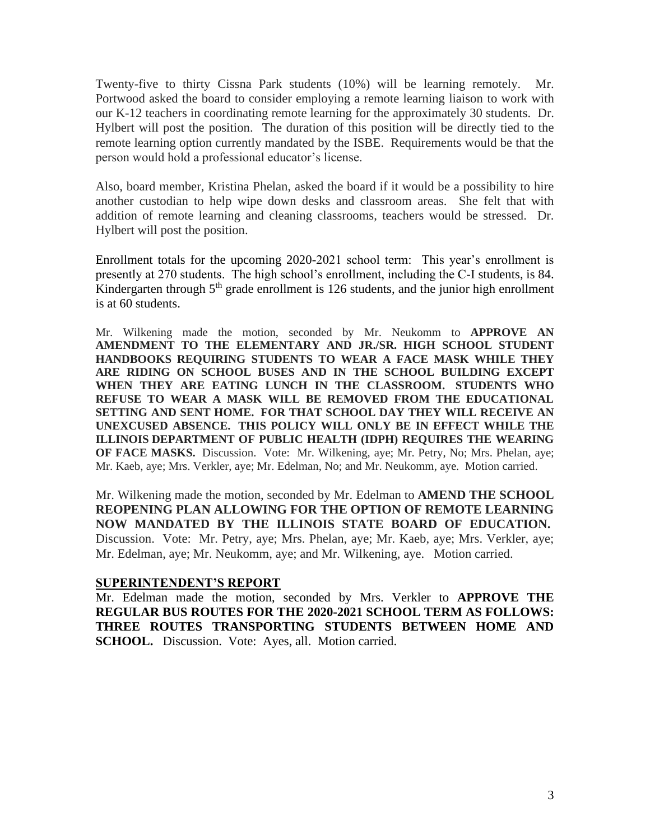Twenty-five to thirty Cissna Park students (10%) will be learning remotely. Mr. Portwood asked the board to consider employing a remote learning liaison to work with our K-12 teachers in coordinating remote learning for the approximately 30 students. Dr. Hylbert will post the position. The duration of this position will be directly tied to the remote learning option currently mandated by the ISBE. Requirements would be that the person would hold a professional educator's license.

Also, board member, Kristina Phelan, asked the board if it would be a possibility to hire another custodian to help wipe down desks and classroom areas. She felt that with addition of remote learning and cleaning classrooms, teachers would be stressed. Dr. Hylbert will post the position.

Enrollment totals for the upcoming 2020-2021 school term: This year's enrollment is presently at 270 students. The high school's enrollment, including the C-I students, is 84. Kindergarten through  $5<sup>th</sup>$  grade enrollment is 126 students, and the junior high enrollment is at 60 students.

Mr. Wilkening made the motion, seconded by Mr. Neukomm to **APPROVE AN AMENDMENT TO THE ELEMENTARY AND JR./SR. HIGH SCHOOL STUDENT HANDBOOKS REQUIRING STUDENTS TO WEAR A FACE MASK WHILE THEY ARE RIDING ON SCHOOL BUSES AND IN THE SCHOOL BUILDING EXCEPT WHEN THEY ARE EATING LUNCH IN THE CLASSROOM. STUDENTS WHO REFUSE TO WEAR A MASK WILL BE REMOVED FROM THE EDUCATIONAL SETTING AND SENT HOME. FOR THAT SCHOOL DAY THEY WILL RECEIVE AN UNEXCUSED ABSENCE. THIS POLICY WILL ONLY BE IN EFFECT WHILE THE ILLINOIS DEPARTMENT OF PUBLIC HEALTH (IDPH) REQUIRES THE WEARING OF FACE MASKS.** Discussion. Vote: Mr. Wilkening, aye; Mr. Petry, No; Mrs. Phelan, aye; Mr. Kaeb, aye; Mrs. Verkler, aye; Mr. Edelman, No; and Mr. Neukomm, aye. Motion carried.

Mr. Wilkening made the motion, seconded by Mr. Edelman to **AMEND THE SCHOOL REOPENING PLAN ALLOWING FOR THE OPTION OF REMOTE LEARNING NOW MANDATED BY THE ILLINOIS STATE BOARD OF EDUCATION.** Discussion. Vote: Mr. Petry, aye; Mrs. Phelan, aye; Mr. Kaeb, aye; Mrs. Verkler, aye; Mr. Edelman, aye; Mr. Neukomm, aye; and Mr. Wilkening, aye. Motion carried.

#### **SUPERINTENDENT'S REPORT**

Mr. Edelman made the motion, seconded by Mrs. Verkler to **APPROVE THE REGULAR BUS ROUTES FOR THE 2020-2021 SCHOOL TERM AS FOLLOWS: THREE ROUTES TRANSPORTING STUDENTS BETWEEN HOME AND SCHOOL.** Discussion. Vote: Ayes, all. Motion carried.